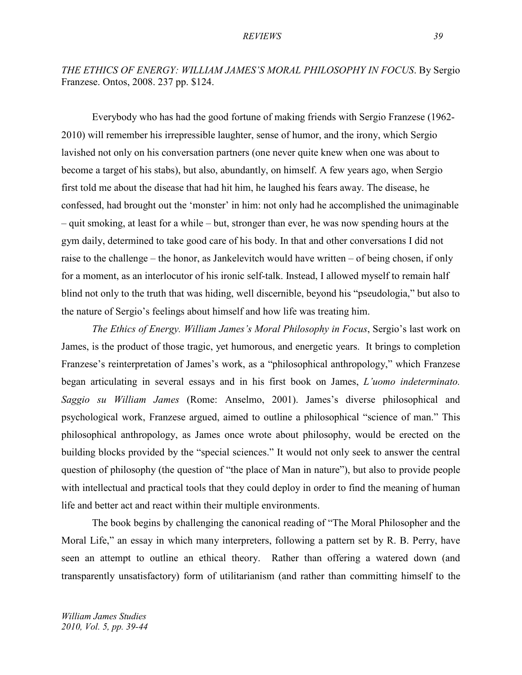# *THE ETHICS OF ENERGY: WILLIAM JAMES'S MORAL PHILOSOPHY IN FOCUS*. By Sergio Franzese. Ontos, 2008. 237 pp. \$124.

Everybody who has had the good fortune of making friends with Sergio Franzese (1962- 2010) will remember his irrepressible laughter, sense of humor, and the irony, which Sergio lavished not only on his conversation partners (one never quite knew when one was about to become a target of his stabs), but also, abundantly, on himself. A few years ago, when Sergio first told me about the disease that had hit him, he laughed his fears away. The disease, he confessed, had brought out the 'monster' in him: not only had he accomplished the unimaginable – quit smoking, at least for a while – but, stronger than ever, he was now spending hours at the gym daily, determined to take good care of his body. In that and other conversations I did not raise to the challenge – the honor, as Jankelevitch would have written – of being chosen, if only for a moment, as an interlocutor of his ironic self-talk. Instead, I allowed myself to remain half blind not only to the truth that was hiding, well discernible, beyond his "pseudologia," but also to the nature of Sergio's feelings about himself and how life was treating him.

*The Ethics of Energy. William James's Moral Philosophy in Focus*, Sergio's last work on James, is the product of those tragic, yet humorous, and energetic years. It brings to completion Franzese's reinterpretation of James's work, as a "philosophical anthropology," which Franzese began articulating in several essays and in his first book on James, *L'uomo indeterminato. Saggio su William James* (Rome: Anselmo, 2001). James's diverse philosophical and psychological work, Franzese argued, aimed to outline a philosophical "science of man." This philosophical anthropology, as James once wrote about philosophy, would be erected on the building blocks provided by the "special sciences." It would not only seek to answer the central question of philosophy (the question of "the place of Man in nature"), but also to provide people with intellectual and practical tools that they could deploy in order to find the meaning of human life and better act and react within their multiple environments.

The book begins by challenging the canonical reading of "The Moral Philosopher and the Moral Life," an essay in which many interpreters, following a pattern set by R. B. Perry, have seen an attempt to outline an ethical theory. Rather than offering a watered down (and transparently unsatisfactory) form of utilitarianism (and rather than committing himself to the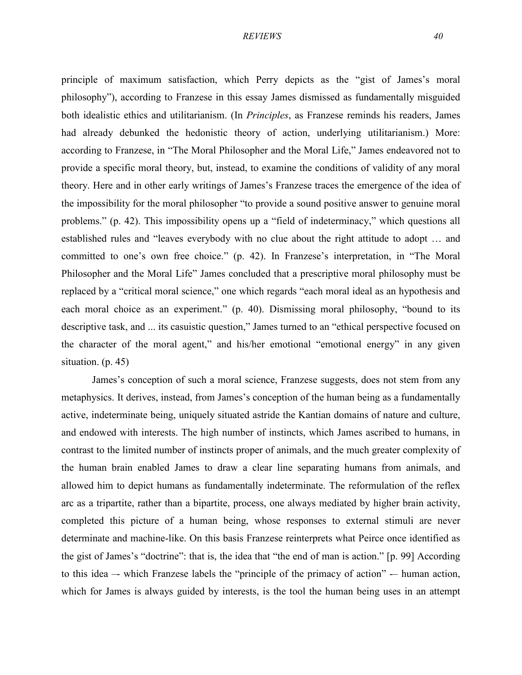principle of maximum satisfaction, which Perry depicts as the "gist of James's moral philosophy"), according to Franzese in this essay James dismissed as fundamentally misguided both idealistic ethics and utilitarianism. (In *Principles*, as Franzese reminds his readers, James had already debunked the hedonistic theory of action, underlying utilitarianism.) More: according to Franzese, in "The Moral Philosopher and the Moral Life," James endeavored not to provide a specific moral theory, but, instead, to examine the conditions of validity of any moral theory. Here and in other early writings of James's Franzese traces the emergence of the idea of the impossibility for the moral philosopher "to provide a sound positive answer to genuine moral problems." (p. 42). This impossibility opens up a "field of indeterminacy," which questions all established rules and "leaves everybody with no clue about the right attitude to adopt … and committed to one's own free choice." (p. 42). In Franzese's interpretation, in "The Moral Philosopher and the Moral Life" James concluded that a prescriptive moral philosophy must be replaced by a "critical moral science," one which regards "each moral ideal as an hypothesis and each moral choice as an experiment." (p. 40). Dismissing moral philosophy, "bound to its descriptive task, and ... its casuistic question," James turned to an "ethical perspective focused on the character of the moral agent," and his/her emotional "emotional energy" in any given situation. (p. 45)

James's conception of such a moral science, Franzese suggests, does not stem from any metaphysics. It derives, instead, from James's conception of the human being as a fundamentally active, indeterminate being, uniquely situated astride the Kantian domains of nature and culture, and endowed with interests. The high number of instincts, which James ascribed to humans, in contrast to the limited number of instincts proper of animals, and the much greater complexity of the human brain enabled James to draw a clear line separating humans from animals, and allowed him to depict humans as fundamentally indeterminate. The reformulation of the reflex arc as a tripartite, rather than a bipartite, process, one always mediated by higher brain activity, completed this picture of a human being, whose responses to external stimuli are never determinate and machine-like. On this basis Franzese reinterprets what Peirce once identified as the gist of James's "doctrine": that is, the idea that "the end of man is action." [p. 99] According to this idea –- which Franzese labels the "principle of the primacy of action" -– human action, which for James is always guided by interests, is the tool the human being uses in an attempt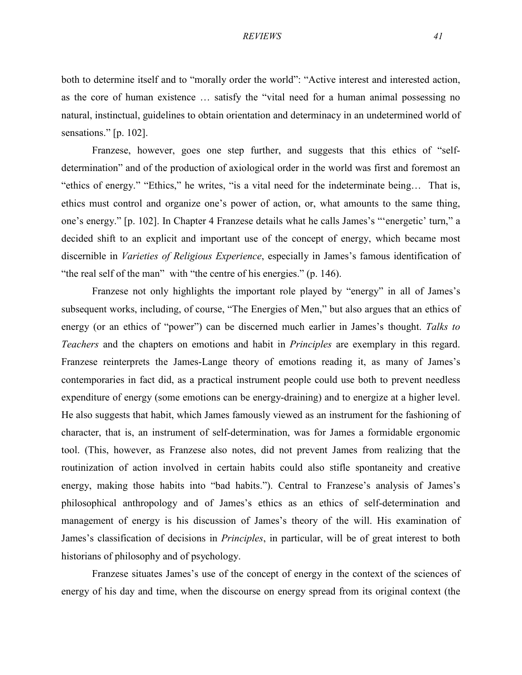both to determine itself and to "morally order the world": "Active interest and interested action, as the core of human existence … satisfy the "vital need for a human animal possessing no natural, instinctual, guidelines to obtain orientation and determinacy in an undetermined world of sensations." [p. 102].

Franzese, however, goes one step further, and suggests that this ethics of "selfdetermination" and of the production of axiological order in the world was first and foremost an "ethics of energy." "Ethics," he writes, "is a vital need for the indeterminate being… That is, ethics must control and organize one's power of action, or, what amounts to the same thing, one's energy." [p. 102]. In Chapter 4 Franzese details what he calls James's "'energetic' turn," a decided shift to an explicit and important use of the concept of energy, which became most discernible in *Varieties of Religious Experience*, especially in James's famous identification of "the real self of the man" with "the centre of his energies." (p. 146).

Franzese not only highlights the important role played by "energy" in all of James's subsequent works, including, of course, "The Energies of Men," but also argues that an ethics of energy (or an ethics of "power") can be discerned much earlier in James's thought. *Talks to Teachers* and the chapters on emotions and habit in *Principles* are exemplary in this regard. Franzese reinterprets the James-Lange theory of emotions reading it, as many of James's contemporaries in fact did, as a practical instrument people could use both to prevent needless expenditure of energy (some emotions can be energy-draining) and to energize at a higher level. He also suggests that habit, which James famously viewed as an instrument for the fashioning of character, that is, an instrument of self-determination, was for James a formidable ergonomic tool. (This, however, as Franzese also notes, did not prevent James from realizing that the routinization of action involved in certain habits could also stifle spontaneity and creative energy, making those habits into "bad habits."). Central to Franzese's analysis of James's philosophical anthropology and of James's ethics as an ethics of self-determination and management of energy is his discussion of James's theory of the will. His examination of James's classification of decisions in *Principles*, in particular, will be of great interest to both historians of philosophy and of psychology.

Franzese situates James's use of the concept of energy in the context of the sciences of energy of his day and time, when the discourse on energy spread from its original context (the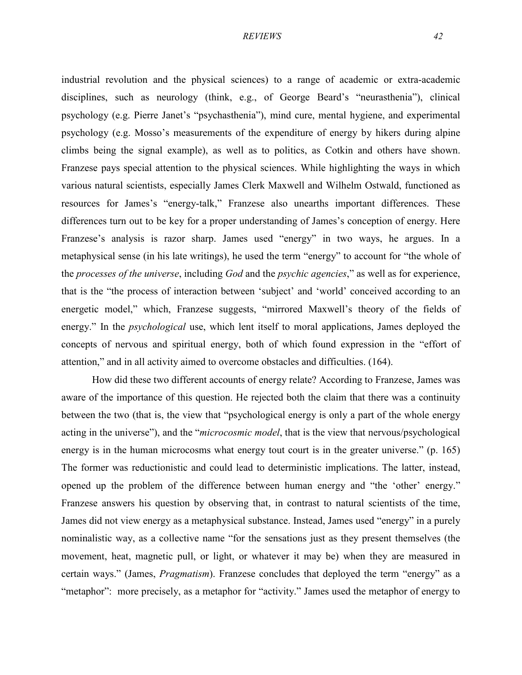industrial revolution and the physical sciences) to a range of academic or extra-academic disciplines, such as neurology (think, e.g., of George Beard's "neurasthenia"), clinical psychology (e.g. Pierre Janet's "psychasthenia"), mind cure, mental hygiene, and experimental psychology (e.g. Mosso's measurements of the expenditure of energy by hikers during alpine climbs being the signal example), as well as to politics, as Cotkin and others have shown. Franzese pays special attention to the physical sciences. While highlighting the ways in which various natural scientists, especially James Clerk Maxwell and Wilhelm Ostwald, functioned as resources for James's "energy-talk," Franzese also unearths important differences. These differences turn out to be key for a proper understanding of James's conception of energy. Here Franzese's analysis is razor sharp. James used "energy" in two ways, he argues. In a metaphysical sense (in his late writings), he used the term "energy" to account for "the whole of the *processes of the universe*, including *God* and the *psychic agencies*," as well as for experience, that is the "the process of interaction between 'subject' and 'world' conceived according to an energetic model," which, Franzese suggests, "mirrored Maxwell's theory of the fields of energy." In the *psychological* use, which lent itself to moral applications, James deployed the concepts of nervous and spiritual energy, both of which found expression in the "effort of attention," and in all activity aimed to overcome obstacles and difficulties. (164).

How did these two different accounts of energy relate? According to Franzese, James was aware of the importance of this question. He rejected both the claim that there was a continuity between the two (that is, the view that "psychological energy is only a part of the whole energy acting in the universe"), and the "*microcosmic model*, that is the view that nervous/psychological energy is in the human microcosms what energy tout court is in the greater universe." (p. 165) The former was reductionistic and could lead to deterministic implications. The latter, instead, opened up the problem of the difference between human energy and "the 'other' energy." Franzese answers his question by observing that, in contrast to natural scientists of the time, James did not view energy as a metaphysical substance. Instead, James used "energy" in a purely nominalistic way, as a collective name "for the sensations just as they present themselves (the movement, heat, magnetic pull, or light, or whatever it may be) when they are measured in certain ways." (James, *Pragmatism*). Franzese concludes that deployed the term "energy" as a "metaphor": more precisely, as a metaphor for "activity." James used the metaphor of energy to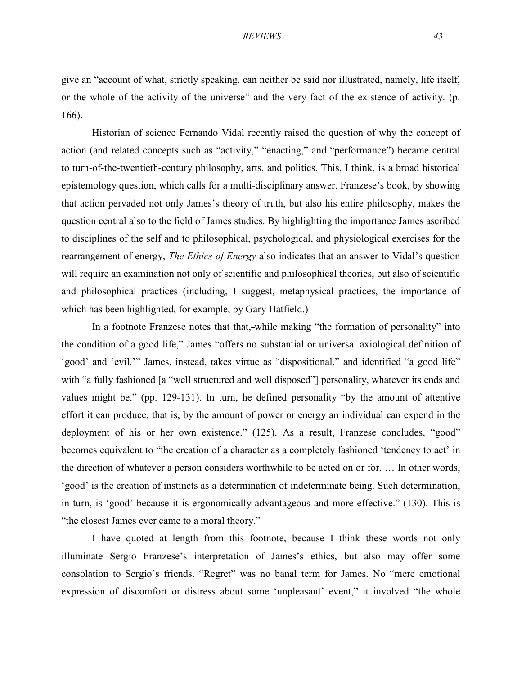give an "account of what, strictly speaking, can neither be said nor illustrated, namely, life itself, or the whole of the activity of the universe" and the very fact of the existence of activity. (p. 166).

Historian of science Fernando Vidal recently raised the question of why the concept of action (and related concepts such as "activity," "enacting," and "performance") became central to turn-of-the-twentieth-century philosophy, arts, and politics. This, I think, is a broad historical epistemology question, which calls for a multi-disciplinary answer. Franzese's book, by showing that action pervaded not only James's theory of truth, but also his entire philosophy, makes the question central also to the field of James studies. By highlighting the importance James ascribed to disciplines of the self and to philosophical, psychological, and physiological exercises for the rearrangement of energy, *The Ethics of Energy* also indicates that an answer to Vidal's question will require an examination not only of scientific and philosophical theories, but also of scientific and philosophical practices (including, I suggest, metaphysical practices, the importance of which has been highlighted, for example, by Gary Hatfield.)

In a footnote Franzese notes that that,-while making "the formation of personality" into the condition of a good life," James "offers no substantial or universal axiological definition of 'good' and 'evil.'" James, instead, takes virtue as "dispositional," and identified "a good life" with "a fully fashioned [a "well structured and well disposed"] personality, whatever its ends and values might be." (pp. 129-131). In turn, he defined personality "by the amount of attentive effort it can produce, that is, by the amount of power or energy an individual can expend in the deployment of his or her own existence." (125). As a result, Franzese concludes, "good" becomes equivalent to "the creation of a character as a completely fashioned 'tendency to act' in the direction of whatever a person considers worthwhile to be acted on or for. … In other words, 'good' is the creation of instincts as a determination of indeterminate being. Such determination, in turn, is 'good' because it is ergonomically advantageous and more effective." (130). This is "the closest James ever came to a moral theory."

I have quoted at length from this footnote, because I think these words not only illuminate Sergio Franzese's interpretation of James's ethics, but also may offer some consolation to Sergio's friends. "Regret" was no banal term for James. No "mere emotional expression of discomfort or distress about some 'unpleasant' event," it involved "the whole